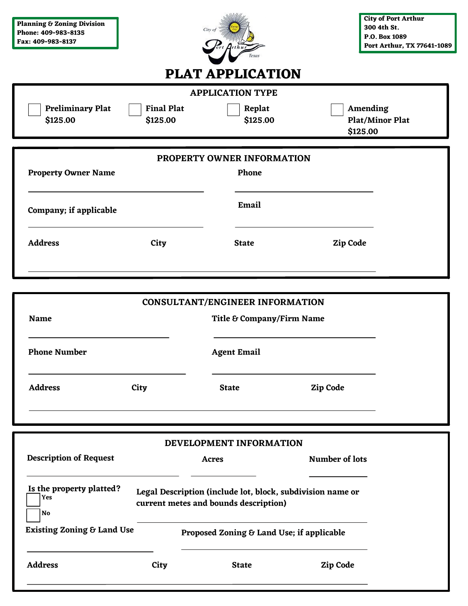| <b>Planning &amp; Zoning Division</b><br>Phone: 409-983-8135<br>Fax: 409-983-8137 |                               | City of<br><b>Texas</b>                | <b>City of Port Arthur</b><br>300 4th St.<br>P.O. Box 1089<br>Port Arthur, TX 77641-1089 |  |
|-----------------------------------------------------------------------------------|-------------------------------|----------------------------------------|------------------------------------------------------------------------------------------|--|
|                                                                                   |                               | <b>PLAT APPLICATION</b>                |                                                                                          |  |
|                                                                                   |                               | <b>APPLICATION TYPE</b>                |                                                                                          |  |
| <b>Preliminary Plat</b><br>\$125.00                                               | <b>Final Plat</b><br>\$125.00 | Replat<br>\$125.00                     | Amending<br><b>Plat/Minor Plat</b><br>\$125.00                                           |  |
|                                                                                   |                               | PROPERTY OWNER INFORMATION             |                                                                                          |  |
| <b>Property Owner Name</b>                                                        |                               | Phone                                  |                                                                                          |  |
| Company; if applicable                                                            |                               | Email                                  |                                                                                          |  |
| <b>Address</b>                                                                    | City                          | <b>State</b>                           | Zip Code                                                                                 |  |
| <b>Name</b>                                                                       |                               | <b>CONSULTANT/ENGINEER INFORMATION</b> |                                                                                          |  |
|                                                                                   |                               | Title & Company/Firm Name              |                                                                                          |  |
| <b>Phone Number</b>                                                               |                               | <b>Agent Email</b>                     |                                                                                          |  |
| <b>Address</b>                                                                    | City                          | <b>State</b>                           | Zip Code                                                                                 |  |

| DEVELOPMENT INFORMATION |  |
|-------------------------|--|
|-------------------------|--|

| <b>Description of Request</b>         |      | Acres                                                                                               | Number of lots |
|---------------------------------------|------|-----------------------------------------------------------------------------------------------------|----------------|
| Is the property platted?<br>Yes<br>No |      | Legal Description (include lot, block, subdivision name or<br>current metes and bounds description) |                |
| <b>Existing Zoning &amp; Land Use</b> |      | Proposed Zoning & Land Use; if applicable                                                           |                |
| <b>Address</b>                        | City | <b>State</b>                                                                                        | Zip Code       |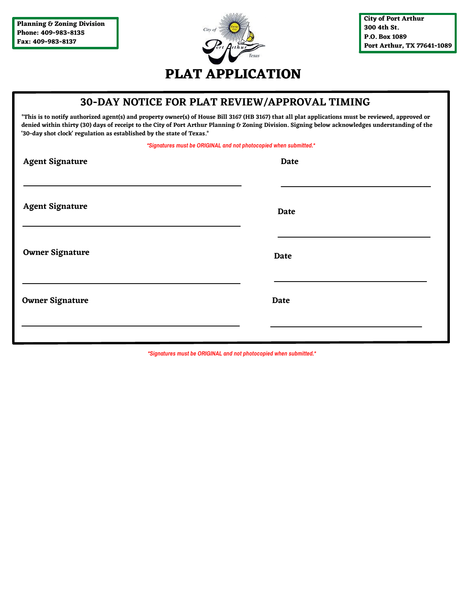

#### **30-DAY NOTICE FOR PLAT REVIEW/APPROVAL TIMING**

**\*This is to notify authorized agent(s) and property owner(s) of House Bill 3167 (HB 3167) that all plat applications must be reviewed, approved or denied within thirty (30) days of receipt to the City of Port Arthur Planning & Zoning Division. Signing below acknowledges understanding of the '30-day shot clock' regulation as established by the state of Texas.\***

*\*Signatures must be ORIGINAL and not photocopied when submitted.\**

| <b>Agent Signature</b> | <b>Date</b> |
|------------------------|-------------|
| <b>Agent Signature</b> | Date        |
| <b>Owner Signature</b> | Date        |
| <b>Owner Signature</b> | <b>Date</b> |
|                        |             |

*\*Signatures must be ORIGINAL and not photocopied when submitted.\**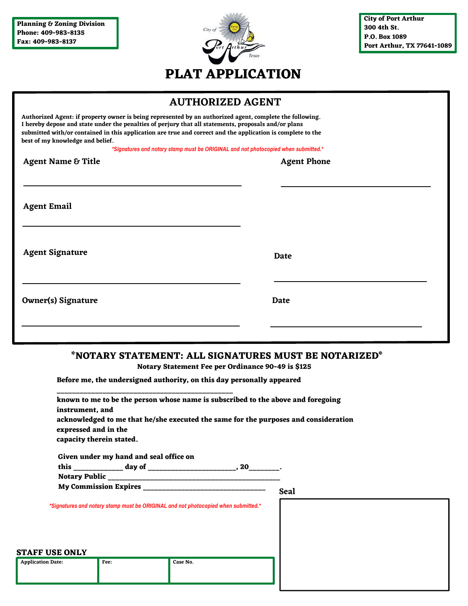

### **AUTHORIZED AGENT**

| Authorized Agent: if property owner is being represented by an authorized agent, complete the following.<br>I hereby depose and state under the penalties of perjury that all statements, proposals and/or plans<br>submitted with/or contained in this application are true and correct and the application is complete to the<br>best of my knowledge and belief. |                                                                                    |
|---------------------------------------------------------------------------------------------------------------------------------------------------------------------------------------------------------------------------------------------------------------------------------------------------------------------------------------------------------------------|------------------------------------------------------------------------------------|
|                                                                                                                                                                                                                                                                                                                                                                     | *Signatures and notary stamp must be ORIGINAL and not photocopied when submitted.* |
| <b>Agent Name &amp; Title</b>                                                                                                                                                                                                                                                                                                                                       | <b>Agent Phone</b>                                                                 |
| <b>Agent Email</b>                                                                                                                                                                                                                                                                                                                                                  |                                                                                    |
| <b>Agent Signature</b>                                                                                                                                                                                                                                                                                                                                              | Date                                                                               |
| <b>Owner(s) Signature</b>                                                                                                                                                                                                                                                                                                                                           | Date                                                                               |
|                                                                                                                                                                                                                                                                                                                                                                     |                                                                                    |

#### **\*NOTARY STATEMENT: ALL SIGNATURES MUST BE NOTARIZED\***

**Notary Statement Fee per Ordinance 90-49 is \$125**

**Before me, the undersigned authority, on this day personally appeared**

| instrument, and                                  |                                        |                                                                                    | known to me to be the person whose name is subscribed to the above and foregoing    |
|--------------------------------------------------|----------------------------------------|------------------------------------------------------------------------------------|-------------------------------------------------------------------------------------|
| expressed and in the<br>capacity therein stated. |                                        |                                                                                    | acknowledged to me that he/she executed the same for the purposes and consideration |
|                                                  | Given under my hand and seal office on |                                                                                    |                                                                                     |
|                                                  |                                        |                                                                                    |                                                                                     |
|                                                  |                                        |                                                                                    |                                                                                     |
|                                                  |                                        |                                                                                    | <b>Seal</b>                                                                         |
|                                                  |                                        | *Signatures and notary stamp must be ORIGINAL and not photocopied when submitted.* |                                                                                     |
|                                                  |                                        |                                                                                    |                                                                                     |
|                                                  |                                        |                                                                                    |                                                                                     |
|                                                  |                                        |                                                                                    |                                                                                     |
|                                                  |                                        |                                                                                    |                                                                                     |
| <b>STAFF USE ONLY</b>                            |                                        |                                                                                    |                                                                                     |
| <b>Application Date:</b>                         | Fee:                                   | Case No.                                                                           |                                                                                     |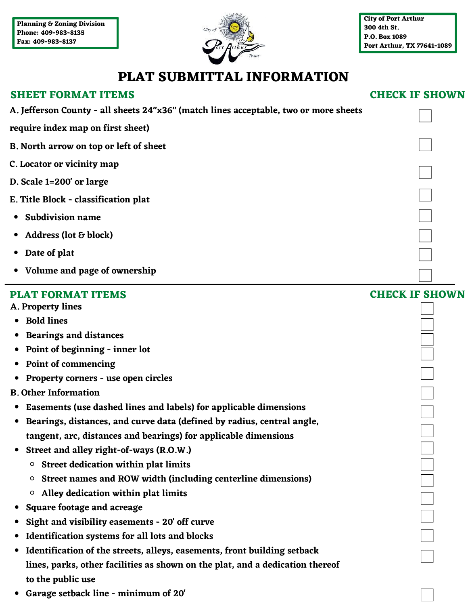

## **PLAT SUBMITTAL INFORMATION**

#### **CHECK IF SHOWN**

| <b>SHEET FORMAT ITEMS</b>                                                            | <b>CHECK IF SHOWN</b> |
|--------------------------------------------------------------------------------------|-----------------------|
| A. Jefferson County - all sheets 24"x36" (match lines acceptable, two or more sheets |                       |
| require index map on first sheet)                                                    |                       |
| B. North arrow on top or left of sheet                                               |                       |
| C. Locator or vicinity map                                                           |                       |
| D. Scale 1=200' or large                                                             |                       |
| E. Title Block - classification plat                                                 |                       |
| <b>Subdivision name</b>                                                              |                       |
| Address (lot & block)                                                                |                       |
|                                                                                      |                       |
| Date of plat                                                                         |                       |
| • Volume and page of ownership                                                       |                       |
| <b>PLAT FORMAT ITEMS</b>                                                             | <b>CHECK IF SHOWN</b> |
| A. Property lines                                                                    |                       |
| <b>Bold lines</b>                                                                    |                       |
| <b>Bearings and distances</b>                                                        |                       |
| Point of beginning - inner lot                                                       |                       |
| Point of commencing                                                                  |                       |
| Property corners - use open circles                                                  |                       |
| <b>B. Other Information</b>                                                          |                       |
| Easements (use dashed lines and labels) for applicable dimensions<br>$\bullet$       |                       |
| Bearings, distances, and curve data (defined by radius, central angle,               |                       |
| tangent, arc, distances and bearings) for applicable dimensions                      |                       |
| Street and alley right-of-ways (R.O.W.)                                              |                       |
| <b>Street dedication within plat limits</b><br>O                                     |                       |
| Street names and ROW width (including centerline dimensions)<br>o                    |                       |
| Alley dedication within plat limits<br>o                                             |                       |
| Square footage and acreage                                                           |                       |
| Sight and visibility easements - 20' off curve                                       |                       |
| Identification systems for all lots and blocks                                       |                       |
| Identification of the streets, alleys, easements, front building setback             |                       |
| lines, parks, other facilities as shown on the plat, and a dedication thereof        |                       |
| to the public use                                                                    |                       |

**Garage setback line - minimum of 20'**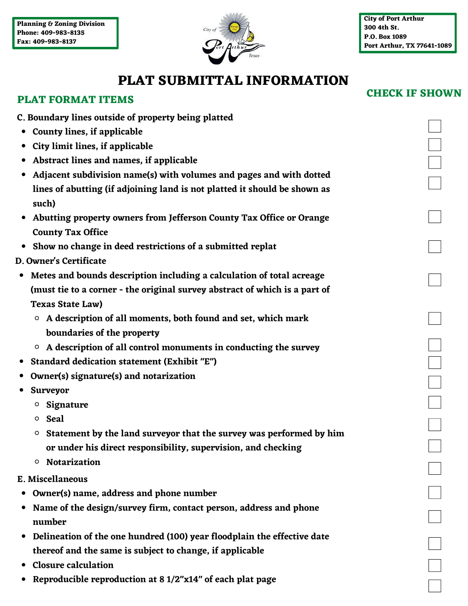

**CHECK IF SHOWN**

# **PLAT SUBMITTAL INFORMATION**

## **PLAT FORMAT ITEMS**

| C. Boundary lines outside of property being platted                                |  |
|------------------------------------------------------------------------------------|--|
| County lines, if applicable<br>$\bullet$                                           |  |
| City limit lines, if applicable                                                    |  |
| Abstract lines and names, if applicable                                            |  |
| Adjacent subdivision name(s) with volumes and pages and with dotted                |  |
| lines of abutting (if adjoining land is not platted it should be shown as          |  |
| such)                                                                              |  |
| Abutting property owners from Jefferson County Tax Office or Orange                |  |
| <b>County Tax Office</b>                                                           |  |
| Show no change in deed restrictions of a submitted replat<br>$\bullet$             |  |
| D. Owner's Certificate                                                             |  |
| Metes and bounds description including a calculation of total acreage<br>$\bullet$ |  |
| (must tie to a corner - the original survey abstract of which is a part of         |  |
| <b>Texas State Law)</b>                                                            |  |
| A description of all moments, both found and set, which mark<br>$\circ$            |  |
| boundaries of the property                                                         |  |
| $\circ$ A description of all control monuments in conducting the survey            |  |
| Standard dedication statement (Exhibit "E")                                        |  |
| Owner(s) signature(s) and notarization                                             |  |
| Surveyor                                                                           |  |
| Signature<br>$\circ$                                                               |  |
| $\circ$ Seal                                                                       |  |
| Statement by the land surveyor that the survey was performed by him<br>o           |  |
| or under his direct responsibility, supervision, and checking                      |  |
| <b>Notarization</b><br>o                                                           |  |
| E. Miscellaneous                                                                   |  |
| Owner(s) name, address and phone number                                            |  |
| Name of the design/survey firm, contact person, address and phone                  |  |
| number                                                                             |  |
| Delineation of the one hundred (100) year floodplain the effective date            |  |
| thereof and the same is subject to change, if applicable                           |  |
| <b>Closure calculation</b>                                                         |  |
| Reproducible reproduction at 8 1/2"x14" of each plat page                          |  |
|                                                                                    |  |